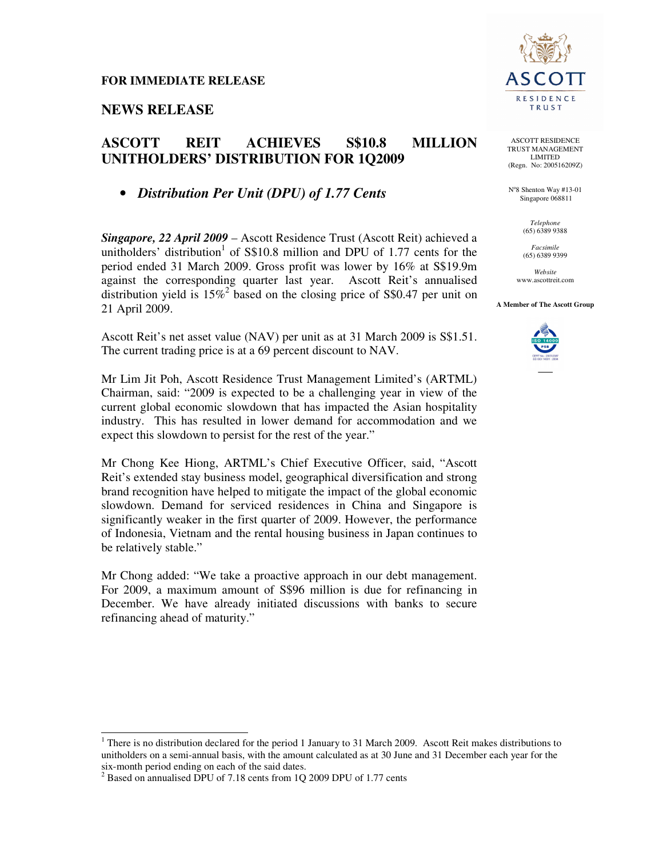# **NEWS RELEASE**

# **ASCOTT REIT ACHIEVES S\$10.8 MILLION UNITHOLDERS' DISTRIBUTION FOR 1Q2009**

• *Distribution Per Unit (DPU) of 1.77 Cents*

*Singapore, 22 April 2009* – Ascott Residence Trust (Ascott Reit) achieved a unitholders' distribution<sup>1</sup> of  $S$10.8$  million and DPU of 1.77 cents for the period ended 31 March 2009. Gross profit was lower by 16% at S\$19.9m against the corresponding quarter last year. Ascott Reit's annualised distribution yield is  $15\%^2$  based on the closing price of S\$0.47 per unit on 21 April 2009.

Ascott Reit's net asset value (NAV) per unit as at 31 March 2009 is S\$1.51. The current trading price is at a 69 percent discount to NAV.

Mr Lim Jit Poh, Ascott Residence Trust Management Limited's (ARTML) Chairman, said: "2009 is expected to be a challenging year in view of the current global economic slowdown that has impacted the Asian hospitality industry. This has resulted in lower demand for accommodation and we expect this slowdown to persist for the rest of the year."

Mr Chong Kee Hiong, ARTML's Chief Executive Officer, said, "Ascott Reit's extended stay business model, geographical diversification and strong brand recognition have helped to mitigate the impact of the global economic slowdown. Demand for serviced residences in China and Singapore is significantly weaker in the first quarter of 2009. However, the performance of Indonesia, Vietnam and the rental housing business in Japan continues to be relatively stable."

Mr Chong added: "We take a proactive approach in our debt management. For 2009, a maximum amount of S\$96 million is due for refinancing in December. We have already initiated discussions with banks to secure refinancing ahead of maturity."

 $\overline{\phantom{a}}$ 



ASCOTT RESIDENCE TRUST MANAGEMENT LIMITED (Regn. No: 200516209Z)

N°8 Shenton Way #13-01 Singapore 068811

> *Telephone*  (65) 6389 9388

*Facsimile*  (65) 6389 9399

*Website*  www.ascottreit.com

#### **A Member of The Ascott Group**



<sup>&</sup>lt;sup>1</sup> There is no distribution declared for the period 1 January to 31 March 2009. Ascott Reit makes distributions to unitholders on a semi-annual basis, with the amount calculated as at 30 June and 31 December each year for the six-month period ending on each of the said dates.<br> $^{2}$  Pased on annualised DPL of 7.18 cents from 10.

Based on annualised DPU of 7.18 cents from 1Q 2009 DPU of 1.77 cents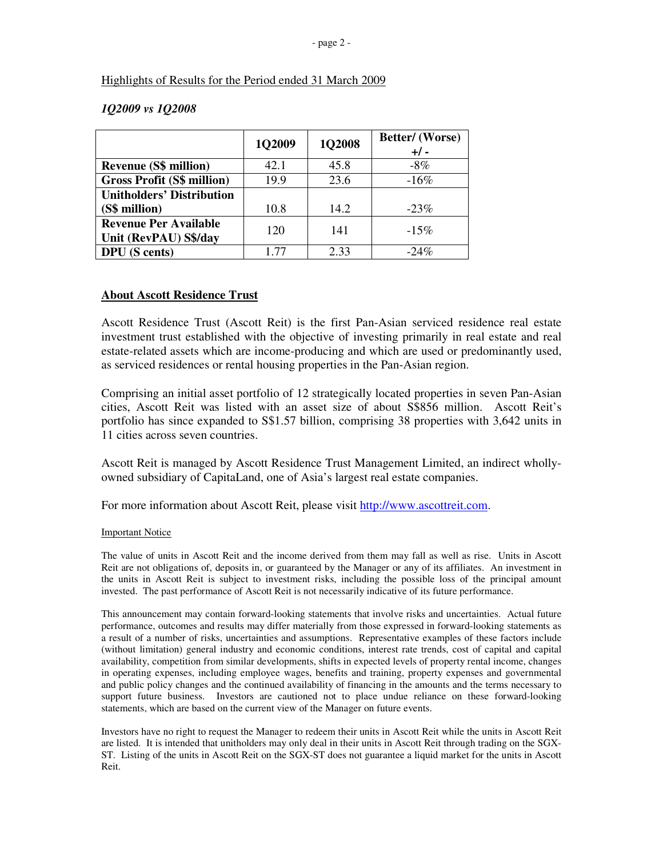#### Highlights of Results for the Period ended 31 March 2009

|                                                       | 1Q2009 | 1Q2008 | Better/ (Worse)<br>$+/-$ |
|-------------------------------------------------------|--------|--------|--------------------------|
| <b>Revenue (S\$ million)</b>                          | 42.1   | 45.8   | $-8\%$                   |
| <b>Gross Profit (S\$ million)</b>                     | 19.9   | 23.6   | $-16%$                   |
| <b>Unitholders' Distribution</b>                      |        |        |                          |
| (S\$ million)                                         | 10.8   | 14.2   | $-23\%$                  |
| <b>Revenue Per Available</b><br>Unit (RevPAU) S\$/day | 120    | 141    | $-15%$                   |
| <b>DPU</b> (S cents)                                  | 1.77   | 2.33   | $-24%$                   |

#### *1Q2009 vs 1Q2008*

### **About Ascott Residence Trust**

Ascott Residence Trust (Ascott Reit) is the first Pan-Asian serviced residence real estate investment trust established with the objective of investing primarily in real estate and real estate-related assets which are income-producing and which are used or predominantly used, as serviced residences or rental housing properties in the Pan-Asian region.

Comprising an initial asset portfolio of 12 strategically located properties in seven Pan-Asian cities, Ascott Reit was listed with an asset size of about S\$856 million. Ascott Reit's portfolio has since expanded to S\$1.57 billion, comprising 38 properties with 3,642 units in 11 cities across seven countries.

Ascott Reit is managed by Ascott Residence Trust Management Limited, an indirect whollyowned subsidiary of CapitaLand, one of Asia's largest real estate companies.

For more information about Ascott Reit, please visit http://www.ascottreit.com.

#### Important Notice

The value of units in Ascott Reit and the income derived from them may fall as well as rise. Units in Ascott Reit are not obligations of, deposits in, or guaranteed by the Manager or any of its affiliates. An investment in the units in Ascott Reit is subject to investment risks, including the possible loss of the principal amount invested. The past performance of Ascott Reit is not necessarily indicative of its future performance.

This announcement may contain forward-looking statements that involve risks and uncertainties. Actual future performance, outcomes and results may differ materially from those expressed in forward-looking statements as a result of a number of risks, uncertainties and assumptions. Representative examples of these factors include (without limitation) general industry and economic conditions, interest rate trends, cost of capital and capital availability, competition from similar developments, shifts in expected levels of property rental income, changes in operating expenses, including employee wages, benefits and training, property expenses and governmental and public policy changes and the continued availability of financing in the amounts and the terms necessary to support future business. Investors are cautioned not to place undue reliance on these forward-looking statements, which are based on the current view of the Manager on future events.

Investors have no right to request the Manager to redeem their units in Ascott Reit while the units in Ascott Reit are listed. It is intended that unitholders may only deal in their units in Ascott Reit through trading on the SGX-ST. Listing of the units in Ascott Reit on the SGX-ST does not guarantee a liquid market for the units in Ascott Reit.